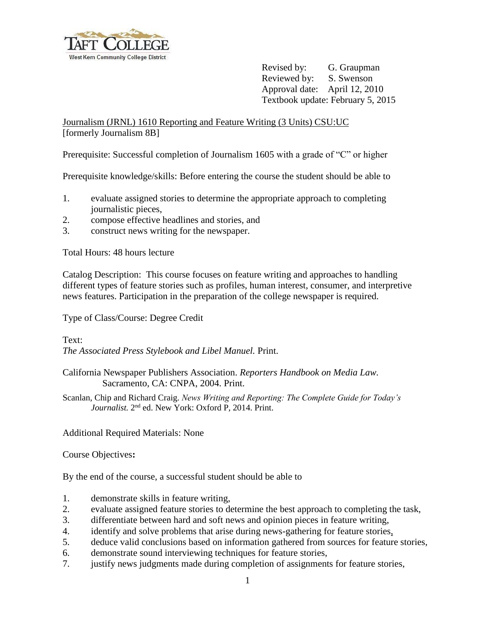

Revised by: G. Graupman Reviewed by: S. Swenson Approval date: April 12, 2010 Textbook update: February 5, 2015

Journalism (JRNL) 1610 Reporting and Feature Writing (3 Units) CSU:UC [formerly Journalism 8B]

Prerequisite: Successful completion of Journalism 1605 with a grade of "C" or higher

Prerequisite knowledge/skills: Before entering the course the student should be able to

- 1. evaluate assigned stories to determine the appropriate approach to completing journalistic pieces,
- 2. compose effective headlines and stories, and
- 3. construct news writing for the newspaper.

Total Hours: 48 hours lecture

Catalog Description: This course focuses on feature writing and approaches to handling different types of feature stories such as profiles, human interest, consumer, and interpretive news features. Participation in the preparation of the college newspaper is required.

Type of Class/Course: Degree Credit

Text:

*The Associated Press Stylebook and Libel Manuel.* Print.

- California Newspaper Publishers Association. *Reporters Handbook on Media Law.*  Sacramento, CA: CNPA, 2004. Print.
- Scanlan, Chip and Richard Craig. *News Writing and Reporting: The Complete Guide for Today's*  Journalist. 2<sup>nd</sup> ed. New York: Oxford P, 2014. Print.

Additional Required Materials: None

Course Objectives**:**

By the end of the course, a successful student should be able to

- 1. demonstrate skills in feature writing,
- 2. evaluate assigned feature stories to determine the best approach to completing the task,
- 3. differentiate between hard and soft news and opinion pieces in feature writing,
- 4. identify and solve problems that arise during news-gathering for feature stories,
- 5. deduce valid conclusions based on information gathered from sources for feature stories,
- 6. demonstrate sound interviewing techniques for feature stories,
- 7. justify news judgments made during completion of assignments for feature stories,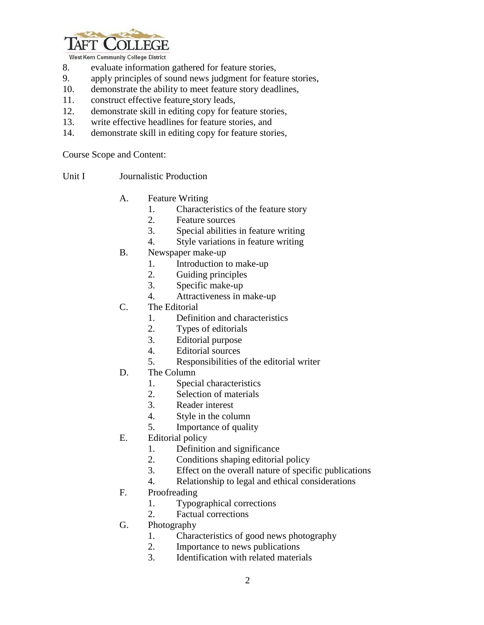

West Kern Community College District

- 8. evaluate information gathered for feature stories,
- 9. apply principles of sound news judgment for feature stories,
- 10. demonstrate the ability to meet feature story deadlines,
- 11. construct effective feature story leads,
- 12. demonstrate skill in editing copy for feature stories,
- 13. write effective headlines for feature stories, and
- 14. demonstrate skill in editing copy for feature stories,

Course Scope and Content:

- Unit I Journalistic Production
	- A. Feature Writing
		- 1. Characteristics of the feature story
		- 2. Feature sources
		- 3. Special abilities in feature writing
		- 4. Style variations in feature writing
	- B. Newspaper make-up
		- 1. Introduction to make-up
		- 2. Guiding principles
		- 3. Specific make-up
		- 4. Attractiveness in make-up
	- C. The Editorial
		- 1. Definition and characteristics
		- 2. Types of editorials
		- 3. Editorial purpose
		- 4. Editorial sources
		- 5. Responsibilities of the editorial writer
	- D. The Column
		- 1. Special characteristics
		- 2. Selection of materials
		- 3. Reader interest
		- 4. Style in the column
		- 5. Importance of quality
	- E. Editorial policy
		- 1. Definition and significance
		- 2. Conditions shaping editorial policy
		- 3. Effect on the overall nature of specific publications
		- 4. Relationship to legal and ethical considerations
	- F. Proofreading
		- 1. Typographical corrections
		- 2. Factual corrections
	- G. Photography
		- 1. Characteristics of good news photography
		- 2. Importance to news publications
		- 3. Identification with related materials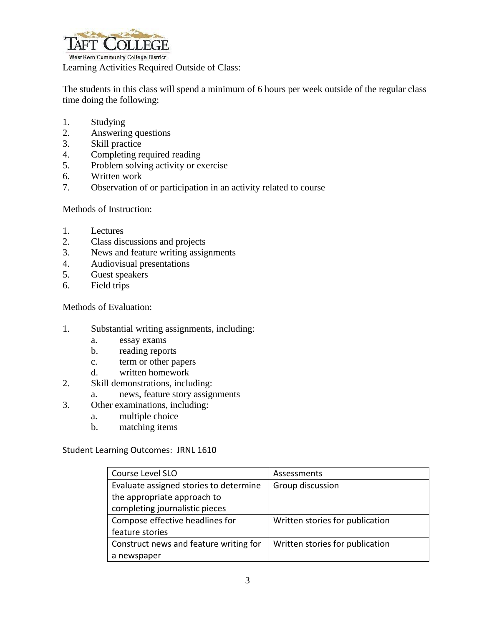

Learning Activities Required Outside of Class:

The students in this class will spend a minimum of 6 hours per week outside of the regular class time doing the following:

- 1. Studying
- 2. Answering questions
- 3. Skill practice
- 4. Completing required reading
- 5. Problem solving activity or exercise
- 6. Written work
- 7. Observation of or participation in an activity related to course

Methods of Instruction:

- 1. Lectures
- 2. Class discussions and projects
- 3. News and feature writing assignments
- 4. Audiovisual presentations
- 5. Guest speakers
- 6. Field trips

Methods of Evaluation:

- 1. Substantial writing assignments, including:
	- a. essay exams
	- b. reading reports
	- c. term or other papers
	- d. written homework
- 2. Skill demonstrations, including:
	- a. news, feature story assignments
- 3. Other examinations, including:
	- a. multiple choice
	- b. matching items

Student Learning Outcomes: JRNL 1610

| Course Level SLO                       | Assessments                     |
|----------------------------------------|---------------------------------|
| Evaluate assigned stories to determine | Group discussion                |
| the appropriate approach to            |                                 |
| completing journalistic pieces         |                                 |
| Compose effective headlines for        | Written stories for publication |
| feature stories                        |                                 |
| Construct news and feature writing for | Written stories for publication |
| a newspaper                            |                                 |